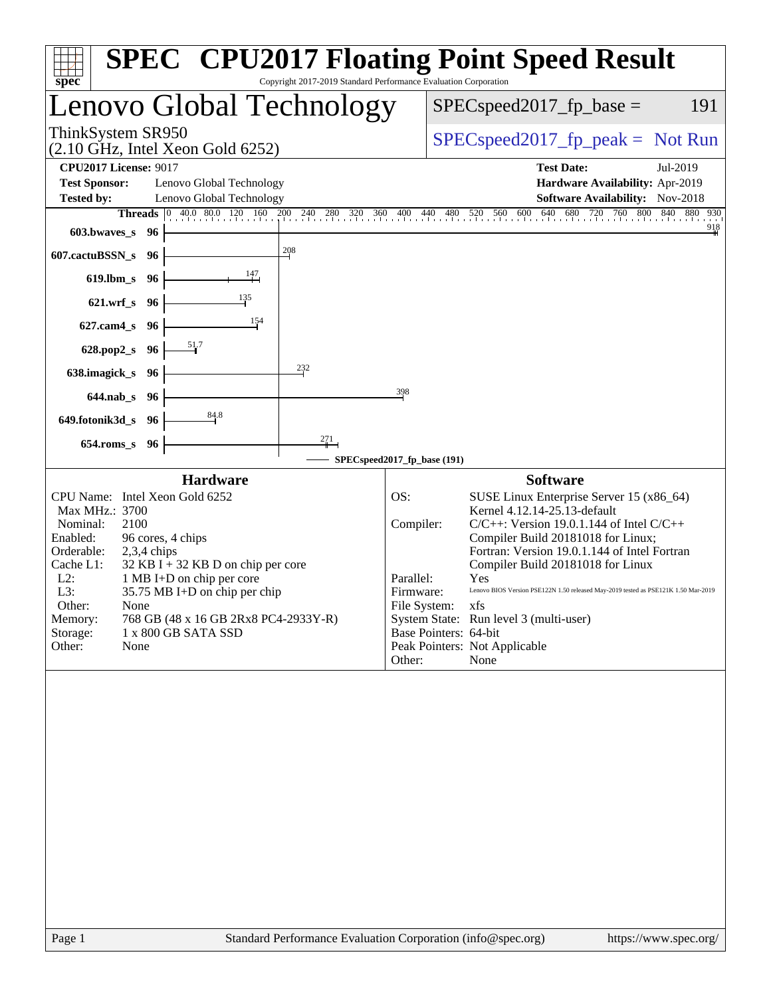| $spec^*$                                                                                                                                                                                |                                                                                                                                                                                                         | Copyright 2017-2019 Standard Performance Evaluation Corporation                                                                                                                                |                                                      | <b>SPEC<sup>®</sup> CPU2017 Floating Point Speed Result</b>                                                                                                                                                                                                                                                                                                                                                                                                                       |
|-----------------------------------------------------------------------------------------------------------------------------------------------------------------------------------------|---------------------------------------------------------------------------------------------------------------------------------------------------------------------------------------------------------|------------------------------------------------------------------------------------------------------------------------------------------------------------------------------------------------|------------------------------------------------------|-----------------------------------------------------------------------------------------------------------------------------------------------------------------------------------------------------------------------------------------------------------------------------------------------------------------------------------------------------------------------------------------------------------------------------------------------------------------------------------|
|                                                                                                                                                                                         |                                                                                                                                                                                                         | Lenovo Global Technology                                                                                                                                                                       |                                                      | $SPEC speed2017_fp\_base =$<br>191                                                                                                                                                                                                                                                                                                                                                                                                                                                |
| ThinkSystem SR950                                                                                                                                                                       | $(2.10 \text{ GHz}, \text{Intel Xeon Gold } 6252)$                                                                                                                                                      |                                                                                                                                                                                                | $SPEC speed2017_fp\_peak = Not Run$                  |                                                                                                                                                                                                                                                                                                                                                                                                                                                                                   |
| <b>CPU2017 License: 9017</b>                                                                                                                                                            |                                                                                                                                                                                                         |                                                                                                                                                                                                |                                                      | <b>Test Date:</b><br>Jul-2019                                                                                                                                                                                                                                                                                                                                                                                                                                                     |
| <b>Test Sponsor:</b>                                                                                                                                                                    | Lenovo Global Technology                                                                                                                                                                                |                                                                                                                                                                                                |                                                      | Hardware Availability: Apr-2019                                                                                                                                                                                                                                                                                                                                                                                                                                                   |
| <b>Tested by:</b><br><b>Threads</b>                                                                                                                                                     | Lenovo Global Technology<br>$ 0\rangle$                                                                                                                                                                 |                                                                                                                                                                                                |                                                      | <b>Software Availability:</b> Nov-2018                                                                                                                                                                                                                                                                                                                                                                                                                                            |
| $603.bwaves$ s                                                                                                                                                                          | - 96                                                                                                                                                                                                    | $\frac{40.0}{1}$ , $\frac{80.0}{120}$ , $\frac{120}{160}$ , $\frac{200}{11}$ , $\frac{240}{11}$ , $\frac{280}{11}$ , $\frac{320}{11}$ , $\frac{360}{11}$ , $\frac{400}{11}$ , $\frac{440}{11}$ |                                                      | 480 520 560 600 640 680 720 760 800 840 880 930<br>$\frac{918}{4}$                                                                                                                                                                                                                                                                                                                                                                                                                |
|                                                                                                                                                                                         |                                                                                                                                                                                                         | 208                                                                                                                                                                                            |                                                      |                                                                                                                                                                                                                                                                                                                                                                                                                                                                                   |
| 607.cactuBSSN_s                                                                                                                                                                         | 96                                                                                                                                                                                                      |                                                                                                                                                                                                |                                                      |                                                                                                                                                                                                                                                                                                                                                                                                                                                                                   |
| $619$ .lbm_s                                                                                                                                                                            | 96<br>135                                                                                                                                                                                               | $\frac{147}{2}$                                                                                                                                                                                |                                                      |                                                                                                                                                                                                                                                                                                                                                                                                                                                                                   |
| $621.wrf$ <sub>S</sub>                                                                                                                                                                  | 96                                                                                                                                                                                                      |                                                                                                                                                                                                |                                                      |                                                                                                                                                                                                                                                                                                                                                                                                                                                                                   |
| $627$ .cam $4_s$                                                                                                                                                                        | 96                                                                                                                                                                                                      | 154                                                                                                                                                                                            |                                                      |                                                                                                                                                                                                                                                                                                                                                                                                                                                                                   |
| 628.pop2_s                                                                                                                                                                              | 51.7<br>96                                                                                                                                                                                              |                                                                                                                                                                                                |                                                      |                                                                                                                                                                                                                                                                                                                                                                                                                                                                                   |
| 638.imagick_s                                                                                                                                                                           | 96                                                                                                                                                                                                      | 232                                                                                                                                                                                            |                                                      |                                                                                                                                                                                                                                                                                                                                                                                                                                                                                   |
| $644$ .nab s                                                                                                                                                                            | -96                                                                                                                                                                                                     |                                                                                                                                                                                                | 398                                                  |                                                                                                                                                                                                                                                                                                                                                                                                                                                                                   |
| 649.fotonik3d_s                                                                                                                                                                         | 84.8<br>- 96                                                                                                                                                                                            |                                                                                                                                                                                                |                                                      |                                                                                                                                                                                                                                                                                                                                                                                                                                                                                   |
| $654$ .roms_s                                                                                                                                                                           | 96                                                                                                                                                                                                      | 271                                                                                                                                                                                            |                                                      |                                                                                                                                                                                                                                                                                                                                                                                                                                                                                   |
|                                                                                                                                                                                         |                                                                                                                                                                                                         |                                                                                                                                                                                                | SPECspeed2017_fp_base (191)                          |                                                                                                                                                                                                                                                                                                                                                                                                                                                                                   |
|                                                                                                                                                                                         | <b>Hardware</b>                                                                                                                                                                                         |                                                                                                                                                                                                |                                                      | <b>Software</b>                                                                                                                                                                                                                                                                                                                                                                                                                                                                   |
| CPU Name: Intel Xeon Gold 6252<br>Max MHz.: 3700<br>Nominal:<br>2100<br>Enabled:<br>Orderable:<br>Cache L1:<br>$L2$ :<br>L3:<br>Other:<br>None<br>Memory:<br>Storage:<br>Other:<br>None | 96 cores, 4 chips<br>$2,3,4$ chips<br>$32$ KB I + 32 KB D on chip per core<br>1 MB I+D on chip per core<br>35.75 MB I+D on chip per chip<br>768 GB (48 x 16 GB 2Rx8 PC4-2933Y-R)<br>1 x 800 GB SATA SSD |                                                                                                                                                                                                | OS:<br>Compiler:<br>Parallel:<br>Firmware:<br>Other: | SUSE Linux Enterprise Server 15 (x86_64)<br>Kernel 4.12.14-25.13-default<br>$C/C++$ : Version 19.0.1.144 of Intel $C/C++$<br>Compiler Build 20181018 for Linux;<br>Fortran: Version 19.0.1.144 of Intel Fortran<br>Compiler Build 20181018 for Linux<br>Yes<br>Lenovo BIOS Version PSE122N 1.50 released May-2019 tested as PSE121K 1.50 Mar-2019<br>File System: xfs<br>System State: Run level 3 (multi-user)<br>Base Pointers: 64-bit<br>Peak Pointers: Not Applicable<br>None |
|                                                                                                                                                                                         |                                                                                                                                                                                                         |                                                                                                                                                                                                |                                                      |                                                                                                                                                                                                                                                                                                                                                                                                                                                                                   |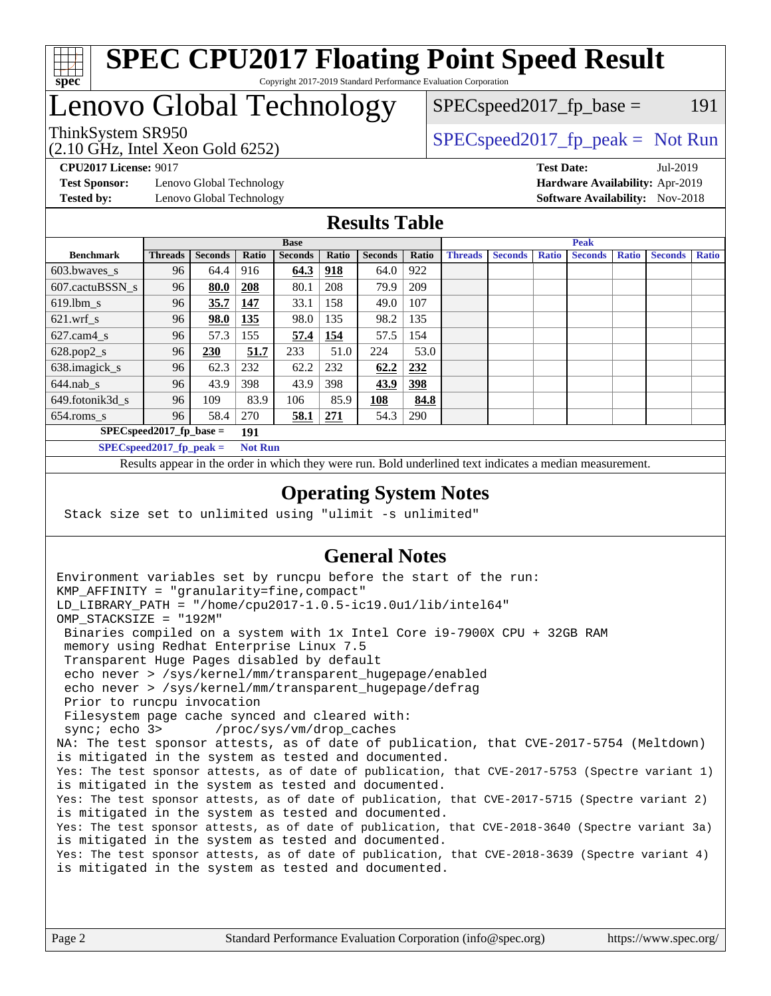

#### **[SPEC CPU2017 Floating Point Speed Result](http://www.spec.org/auto/cpu2017/Docs/result-fields.html#SPECCPU2017FloatingPointSpeedResult)** Copyright 2017-2019 Standard Performance Evaluation Corporation

## Lenovo Global Technology

(2.10 GHz, Intel Xeon Gold 6252)

ThinkSystem SR950<br>  $SPECspeed2017_f$  peak = Not Run

 $SPEC speed2017_fp\_base = 191$ 

**[Test Sponsor:](http://www.spec.org/auto/cpu2017/Docs/result-fields.html#TestSponsor)** Lenovo Global Technology **[Hardware Availability:](http://www.spec.org/auto/cpu2017/Docs/result-fields.html#HardwareAvailability)** Apr-2019 **[Tested by:](http://www.spec.org/auto/cpu2017/Docs/result-fields.html#Testedby)** Lenovo Global Technology **[Software Availability:](http://www.spec.org/auto/cpu2017/Docs/result-fields.html#SoftwareAvailability)** Nov-2018

**[CPU2017 License:](http://www.spec.org/auto/cpu2017/Docs/result-fields.html#CPU2017License)** 9017 **[Test Date:](http://www.spec.org/auto/cpu2017/Docs/result-fields.html#TestDate)** Jul-2019

### **[Results Table](http://www.spec.org/auto/cpu2017/Docs/result-fields.html#ResultsTable)**

|                            | <b>Base</b>    |                |       |                | <b>Peak</b> |                |            |                |                |              |                |              |                |              |
|----------------------------|----------------|----------------|-------|----------------|-------------|----------------|------------|----------------|----------------|--------------|----------------|--------------|----------------|--------------|
| <b>Benchmark</b>           | <b>Threads</b> | <b>Seconds</b> | Ratio | <b>Seconds</b> | Ratio       | <b>Seconds</b> | Ratio      | <b>Threads</b> | <b>Seconds</b> | <b>Ratio</b> | <b>Seconds</b> | <b>Ratio</b> | <b>Seconds</b> | <b>Ratio</b> |
| $603.bwaves$ s             | 96             | 64.4           | 916   | 64.3           | 918         | 64.0           | 922        |                |                |              |                |              |                |              |
| 607.cactuBSSN s            | 96             | 80.0           | 208   | 80.1           | 208         | 79.9           | 209        |                |                |              |                |              |                |              |
| $619.$ lbm_s               | 96             | 35.7           | 147   | 33.1           | 158         | 49.0           | 107        |                |                |              |                |              |                |              |
| $621.wrf$ s                | 96             | 98.0           | 135   | 98.0           | 135         | 98.2           | 135        |                |                |              |                |              |                |              |
| $627$ .cam $4 \text{ s}$   | 96             | 57.3           | 155   | 57.4           | 154         | 57.5           | 154        |                |                |              |                |              |                |              |
| $628.pop2_s$               | 96             | 230            | 51.7  | 233            | 51.0        | 224            | 53.0       |                |                |              |                |              |                |              |
| 638.imagick_s              | 96             | 62.3           | 232   | 62.2           | 232         | 62.2           | 232        |                |                |              |                |              |                |              |
| $644$ .nab s               | 96             | 43.9           | 398   | 43.9           | 398         | 43.9           | <u>398</u> |                |                |              |                |              |                |              |
| 649.fotonik3d s            | 96             | 109            | 83.9  | 106            | 85.9        | 108            | 84.8       |                |                |              |                |              |                |              |
| $654$ .roms s              | 96             | 58.4           | 270   | 58.1           | 271         | 54.3           | 290        |                |                |              |                |              |                |              |
| $SPEC speed2017$ fp base = | 191            |                |       |                |             |                |            |                |                |              |                |              |                |              |
| $SPECspeed2017_fp\_peak =$ | <b>Not Run</b> |                |       |                |             |                |            |                |                |              |                |              |                |              |

Results appear in the [order in which they were run.](http://www.spec.org/auto/cpu2017/Docs/result-fields.html#RunOrder) Bold underlined text [indicates a median measurement](http://www.spec.org/auto/cpu2017/Docs/result-fields.html#Median).

#### **[Operating System Notes](http://www.spec.org/auto/cpu2017/Docs/result-fields.html#OperatingSystemNotes)**

Stack size set to unlimited using "ulimit -s unlimited"

### **[General Notes](http://www.spec.org/auto/cpu2017/Docs/result-fields.html#GeneralNotes)**

Environment variables set by runcpu before the start of the run: KMP\_AFFINITY = "granularity=fine,compact" LD\_LIBRARY\_PATH = "/home/cpu2017-1.0.5-ic19.0u1/lib/intel64" OMP\_STACKSIZE = "192M" Binaries compiled on a system with 1x Intel Core i9-7900X CPU + 32GB RAM memory using Redhat Enterprise Linux 7.5 Transparent Huge Pages disabled by default echo never > /sys/kernel/mm/transparent\_hugepage/enabled echo never > /sys/kernel/mm/transparent\_hugepage/defrag Prior to runcpu invocation Filesystem page cache synced and cleared with: sync; echo 3> /proc/sys/vm/drop\_caches NA: The test sponsor attests, as of date of publication, that CVE-2017-5754 (Meltdown) is mitigated in the system as tested and documented. Yes: The test sponsor attests, as of date of publication, that CVE-2017-5753 (Spectre variant 1) is mitigated in the system as tested and documented. Yes: The test sponsor attests, as of date of publication, that CVE-2017-5715 (Spectre variant 2) is mitigated in the system as tested and documented. Yes: The test sponsor attests, as of date of publication, that CVE-2018-3640 (Spectre variant 3a) is mitigated in the system as tested and documented. Yes: The test sponsor attests, as of date of publication, that CVE-2018-3639 (Spectre variant 4) is mitigated in the system as tested and documented.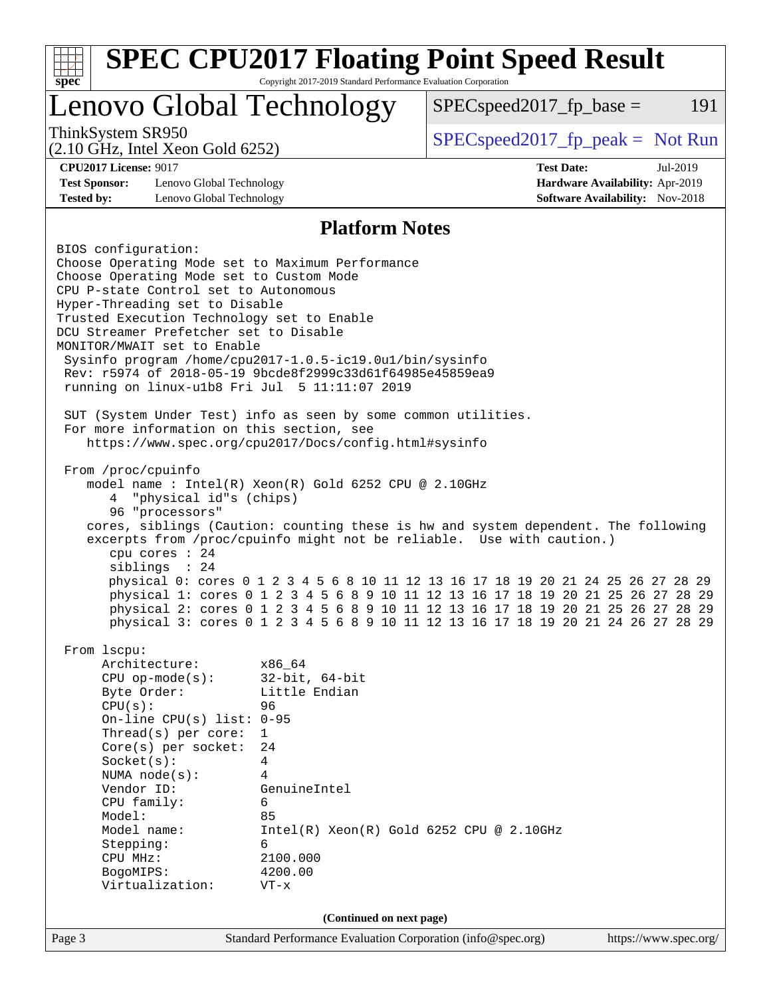| $spec^*$                                                                                                                                                                                                                                                                                                                                                                                                                                                                                                                                                                                                                                                                                                                                                                                                                                                                    | Copyright 2017-2019 Standard Performance Evaluation Corporation                                                                                                                                                          | <b>SPEC CPU2017 Floating Point Speed Result</b>                                                                                                                                                                                                                                                                                                                                                                                                                                                              |                                                                                |  |  |  |  |
|-----------------------------------------------------------------------------------------------------------------------------------------------------------------------------------------------------------------------------------------------------------------------------------------------------------------------------------------------------------------------------------------------------------------------------------------------------------------------------------------------------------------------------------------------------------------------------------------------------------------------------------------------------------------------------------------------------------------------------------------------------------------------------------------------------------------------------------------------------------------------------|--------------------------------------------------------------------------------------------------------------------------------------------------------------------------------------------------------------------------|--------------------------------------------------------------------------------------------------------------------------------------------------------------------------------------------------------------------------------------------------------------------------------------------------------------------------------------------------------------------------------------------------------------------------------------------------------------------------------------------------------------|--------------------------------------------------------------------------------|--|--|--|--|
| Lenovo Global Technology                                                                                                                                                                                                                                                                                                                                                                                                                                                                                                                                                                                                                                                                                                                                                                                                                                                    |                                                                                                                                                                                                                          | $SPEC speed2017fp base =$                                                                                                                                                                                                                                                                                                                                                                                                                                                                                    | 191                                                                            |  |  |  |  |
| ThinkSystem SR950<br>$(2.10 \text{ GHz}, \text{Intel Xeon Gold } 6252)$                                                                                                                                                                                                                                                                                                                                                                                                                                                                                                                                                                                                                                                                                                                                                                                                     |                                                                                                                                                                                                                          | $SPEC speed2017_fp\_peak = Not Run$                                                                                                                                                                                                                                                                                                                                                                                                                                                                          |                                                                                |  |  |  |  |
| <b>CPU2017 License: 9017</b><br><b>Test Sponsor:</b><br>Lenovo Global Technology<br><b>Tested by:</b><br>Lenovo Global Technology                                                                                                                                                                                                                                                                                                                                                                                                                                                                                                                                                                                                                                                                                                                                           |                                                                                                                                                                                                                          | <b>Test Date:</b>                                                                                                                                                                                                                                                                                                                                                                                                                                                                                            | Jul-2019<br>Hardware Availability: Apr-2019<br>Software Availability: Nov-2018 |  |  |  |  |
| <b>Platform Notes</b>                                                                                                                                                                                                                                                                                                                                                                                                                                                                                                                                                                                                                                                                                                                                                                                                                                                       |                                                                                                                                                                                                                          |                                                                                                                                                                                                                                                                                                                                                                                                                                                                                                              |                                                                                |  |  |  |  |
| BIOS configuration:<br>Choose Operating Mode set to Maximum Performance<br>Choose Operating Mode set to Custom Mode<br>CPU P-state Control set to Autonomous<br>Hyper-Threading set to Disable<br>Trusted Execution Technology set to Enable<br>DCU Streamer Prefetcher set to Disable<br>MONITOR/MWAIT set to Enable<br>Sysinfo program /home/cpu2017-1.0.5-ic19.0ul/bin/sysinfo<br>Rev: r5974 of 2018-05-19 9bcde8f2999c33d61f64985e45859ea9<br>running on linux-ulb8 Fri Jul 5 11:11:07 2019<br>SUT (System Under Test) info as seen by some common utilities.<br>For more information on this section, see<br>https://www.spec.org/cpu2017/Docs/config.html#sysinfo<br>From /proc/cpuinfo<br>model name : Intel(R) Xeon(R) Gold 6252 CPU @ 2.10GHz<br>"physical id"s (chips)<br>4<br>96 "processors"<br>cpu cores : 24<br>siblings : 24<br>From 1scpu:<br>Architecture: | x86_64                                                                                                                                                                                                                   | cores, siblings (Caution: counting these is hw and system dependent. The following<br>excerpts from /proc/cpuinfo might not be reliable. Use with caution.)<br>physical 0: cores 0 1 2 3 4 5 6 8 10 11 12 13 16 17 18 19 20 21 24 25 26 27 28 29<br>physical 1: cores 0 1 2 3 4 5 6 8 9 10 11 12 13 16 17 18 19 20 21 25 26 27 28 29<br>physical 2: cores 0 1 2 3 4 5 6 8 9 10 11 12 13 16 17 18 19 20 21 25 26 27 28 29<br>physical 3: cores 0 1 2 3 4 5 6 8 9 10 11 12 13 16 17 18 19 20 21 24 26 27 28 29 |                                                                                |  |  |  |  |
| $CPU$ op-mode( $s$ ):<br>Byte Order:<br>CPU(s):<br>On-line CPU(s) list: $0-95$<br>Thread( $s$ ) per core:<br>Core(s) per socket:<br>Socket(s):<br>NUMA node(s):<br>Vendor ID:<br>CPU family:<br>Model:<br>Model name:<br>Stepping:<br>CPU MHz:<br>BogoMIPS:<br>Virtualization:                                                                                                                                                                                                                                                                                                                                                                                                                                                                                                                                                                                              | $32$ -bit, $64$ -bit<br>Little Endian<br>96<br>$\mathbf{1}$<br>24<br>4<br>4<br>GenuineIntel<br>6<br>85<br>$Intel(R) Xeon(R) Gold 6252 CPU @ 2.10GHz$<br>6<br>2100.000<br>4200.00<br>$VT - x$<br>(Continued on next page) |                                                                                                                                                                                                                                                                                                                                                                                                                                                                                                              |                                                                                |  |  |  |  |
| Page 3                                                                                                                                                                                                                                                                                                                                                                                                                                                                                                                                                                                                                                                                                                                                                                                                                                                                      | Standard Performance Evaluation Corporation (info@spec.org)                                                                                                                                                              |                                                                                                                                                                                                                                                                                                                                                                                                                                                                                                              | https://www.spec.org/                                                          |  |  |  |  |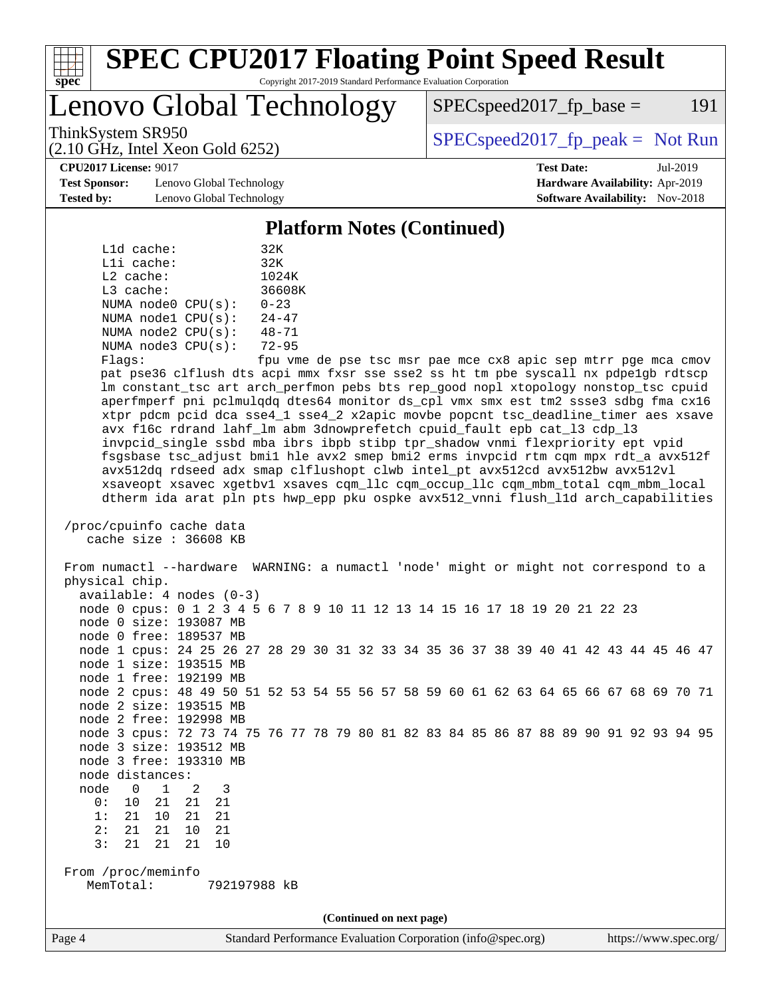

#### **[SPEC CPU2017 Floating Point Speed Result](http://www.spec.org/auto/cpu2017/Docs/result-fields.html#SPECCPU2017FloatingPointSpeedResult)** Copyright 2017-2019 Standard Performance Evaluation Corporation

Lenovo Global Technology

 $SPEC speed2017<sub>fp</sub> base = 191$ 

(2.10 GHz, Intel Xeon Gold 6252)

ThinkSystem SR950<br>  $SPECspeed2017_f$  peak = Not Run

**[CPU2017 License:](http://www.spec.org/auto/cpu2017/Docs/result-fields.html#CPU2017License)** 9017 **[Test Date:](http://www.spec.org/auto/cpu2017/Docs/result-fields.html#TestDate)** Jul-2019

**[Test Sponsor:](http://www.spec.org/auto/cpu2017/Docs/result-fields.html#TestSponsor)** Lenovo Global Technology **[Hardware Availability:](http://www.spec.org/auto/cpu2017/Docs/result-fields.html#HardwareAvailability)** Apr-2019 **[Tested by:](http://www.spec.org/auto/cpu2017/Docs/result-fields.html#Testedby)** Lenovo Global Technology **[Software Availability:](http://www.spec.org/auto/cpu2017/Docs/result-fields.html#SoftwareAvailability)** Nov-2018

**[Platform Notes \(Continued\)](http://www.spec.org/auto/cpu2017/Docs/result-fields.html#PlatformNotes)**

| L1d cache:  |                         | 32K                      |
|-------------|-------------------------|--------------------------|
| Lli cache:  |                         | 32K                      |
| $L2$ cache: |                         | 1024K                    |
| $L3$ cache: |                         | 36608K                   |
|             | NUMA node0 CPU(s):      | $0 - 23$                 |
|             | NUMA $node1$ $CPU(s)$ : | $24 - 47$                |
|             | NUMA $node2$ $CPU(s)$ : | $48 - 71$                |
|             | NUMA node3 CPU(s):      | $72 - 95$                |
|             |                         | $\overline{\phantom{0}}$ |

Flags: fpu vme de pse tsc msr pae mce cx8 apic sep mtrr pge mca cmov pat pse36 clflush dts acpi mmx fxsr sse sse2 ss ht tm pbe syscall nx pdpe1gb rdtscp lm constant\_tsc art arch\_perfmon pebs bts rep\_good nopl xtopology nonstop\_tsc cpuid aperfmperf pni pclmulqdq dtes64 monitor ds\_cpl vmx smx est tm2 ssse3 sdbg fma cx16 xtpr pdcm pcid dca sse4\_1 sse4\_2 x2apic movbe popcnt tsc\_deadline\_timer aes xsave avx f16c rdrand lahf\_lm abm 3dnowprefetch cpuid\_fault epb cat\_l3 cdp\_l3 invpcid\_single ssbd mba ibrs ibpb stibp tpr\_shadow vnmi flexpriority ept vpid fsgsbase tsc\_adjust bmi1 hle avx2 smep bmi2 erms invpcid rtm cqm mpx rdt\_a avx512f avx512dq rdseed adx smap clflushopt clwb intel\_pt avx512cd avx512bw avx512vl xsaveopt xsavec xgetbv1 xsaves cqm\_llc cqm\_occup\_llc cqm\_mbm\_total cqm\_mbm\_local dtherm ida arat pln pts hwp\_epp pku ospke avx512\_vnni flush\_l1d arch\_capabilities

```
 /proc/cpuinfo cache data
cache size : 36608 KB
```
 From numactl --hardware WARNING: a numactl 'node' might or might not correspond to a physical chip. available: 4 nodes (0-3) node 0 cpus: 0 1 2 3 4 5 6 7 8 9 10 11 12 13 14 15 16 17 18 19 20 21 22 23 node 0 size: 193087 MB node 0 free: 189537 MB node 1 cpus: 24 25 26 27 28 29 30 31 32 33 34 35 36 37 38 39 40 41 42 43 44 45 46 47 node 1 size: 193515 MB node 1 free: 192199 MB node 2 cpus: 48 49 50 51 52 53 54 55 56 57 58 59 60 61 62 63 64 65 66 67 68 69 70 71 node 2 size: 193515 MB node 2 free: 192998 MB node 3 cpus: 72 73 74 75 76 77 78 79 80 81 82 83 84 85 86 87 88 89 90 91 92 93 94 95 node 3 size: 193512 MB node 3 free: 193310 MB node distances: node 0 1 2 3 0: 10 21 21 21 1: 21 10 21 21 2: 21 21 10 21 3: 21 21 21 10 From /proc/meminfo MemTotal: 792197988 kB **(Continued on next page)**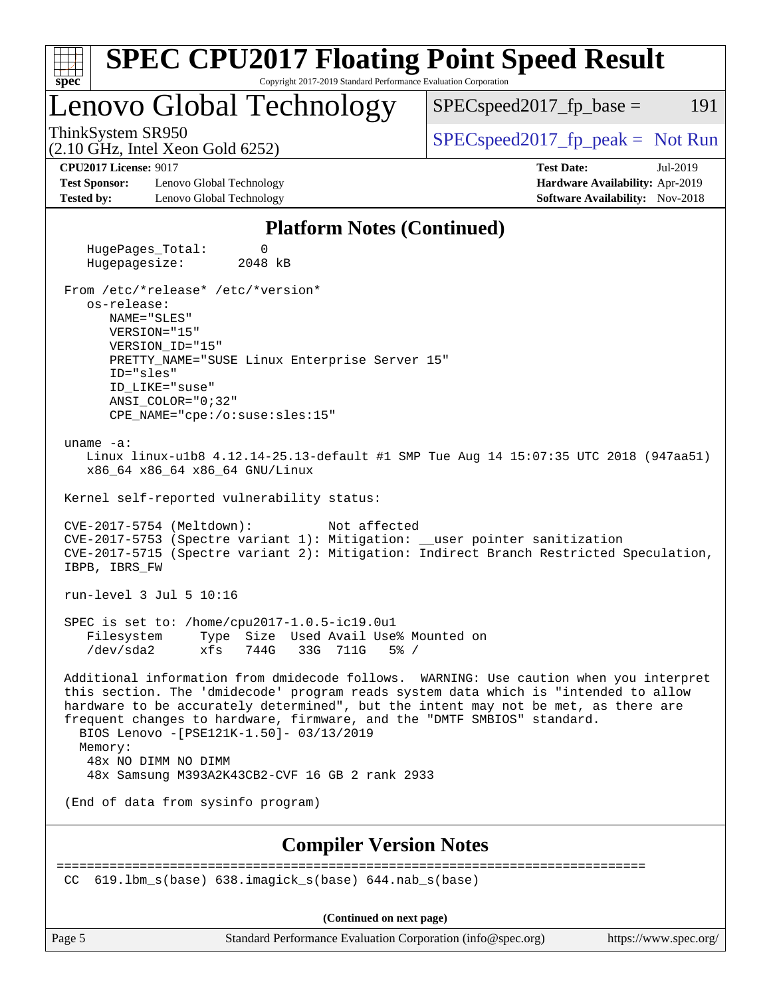| <b>SPEC CPU2017 Floating Point Speed Result</b><br>$spec^*$<br>Copyright 2017-2019 Standard Performance Evaluation Corporation                                                                                                                                                                                                                                                                                                                                                  |                                                                                                     |  |  |  |  |  |  |
|---------------------------------------------------------------------------------------------------------------------------------------------------------------------------------------------------------------------------------------------------------------------------------------------------------------------------------------------------------------------------------------------------------------------------------------------------------------------------------|-----------------------------------------------------------------------------------------------------|--|--|--|--|--|--|
| Lenovo Global Technology                                                                                                                                                                                                                                                                                                                                                                                                                                                        | 191<br>$SPEC speed2017fp base =$                                                                    |  |  |  |  |  |  |
| ThinkSystem SR950<br>$(2.10 \text{ GHz}, \text{Intel Xeon Gold } 6252)$                                                                                                                                                                                                                                                                                                                                                                                                         | $SPEC speed2017rfp peak = Not Run$                                                                  |  |  |  |  |  |  |
| <b>CPU2017 License: 9017</b><br><b>Test Sponsor:</b><br>Lenovo Global Technology<br><b>Tested by:</b><br>Lenovo Global Technology                                                                                                                                                                                                                                                                                                                                               | <b>Test Date:</b><br>Jul-2019<br>Hardware Availability: Apr-2019<br>Software Availability: Nov-2018 |  |  |  |  |  |  |
| <b>Platform Notes (Continued)</b>                                                                                                                                                                                                                                                                                                                                                                                                                                               |                                                                                                     |  |  |  |  |  |  |
| HugePages_Total:<br>0<br>Hugepagesize:<br>2048 kB                                                                                                                                                                                                                                                                                                                                                                                                                               |                                                                                                     |  |  |  |  |  |  |
| From /etc/*release* /etc/*version*<br>os-release:<br>NAME="SLES"<br>VERSION="15"<br>VERSION_ID="15"<br>PRETTY_NAME="SUSE Linux Enterprise Server 15"<br>ID="sles"<br>ID LIKE="suse"<br>$ANSI\_COLOR = "0;32"$<br>CPE NAME="cpe:/o:suse:sles:15"                                                                                                                                                                                                                                 |                                                                                                     |  |  |  |  |  |  |
| uname $-a$ :<br>Linux linux-ulb8 4.12.14-25.13-default #1 SMP Tue Aug 14 15:07:35 UTC 2018 (947aa51)<br>x86_64 x86_64 x86_64 GNU/Linux                                                                                                                                                                                                                                                                                                                                          |                                                                                                     |  |  |  |  |  |  |
| Kernel self-reported vulnerability status:<br>Not affected<br>CVE-2017-5754 (Meltdown):<br>CVE-2017-5753 (Spectre variant 1): Mitigation: __user pointer sanitization<br>CVE-2017-5715 (Spectre variant 2): Mitigation: Indirect Branch Restricted Speculation,<br>IBPB, IBRS FW                                                                                                                                                                                                |                                                                                                     |  |  |  |  |  |  |
| run-level 3 Jul 5 10:16                                                                                                                                                                                                                                                                                                                                                                                                                                                         |                                                                                                     |  |  |  |  |  |  |
| SPEC is set to: /home/cpu2017-1.0.5-ic19.0u1<br>Filesystem<br>Type Size Used Avail Use% Mounted on<br>/dev/sda2<br>xfs 744G 33G 711G<br>$5\%$ /                                                                                                                                                                                                                                                                                                                                 |                                                                                                     |  |  |  |  |  |  |
| Additional information from dmidecode follows. WARNING: Use caution when you interpret<br>this section. The 'dmidecode' program reads system data which is "intended to allow<br>hardware to be accurately determined", but the intent may not be met, as there are<br>frequent changes to hardware, firmware, and the "DMTF SMBIOS" standard.<br>BIOS Lenovo - [PSE121K-1.50] - 03/13/2019<br>Memory:<br>48x NO DIMM NO DIMM<br>48x Samsung M393A2K43CB2-CVF 16 GB 2 rank 2933 |                                                                                                     |  |  |  |  |  |  |
| (End of data from sysinfo program)                                                                                                                                                                                                                                                                                                                                                                                                                                              |                                                                                                     |  |  |  |  |  |  |
| <b>Compiler Version Notes</b>                                                                                                                                                                                                                                                                                                                                                                                                                                                   |                                                                                                     |  |  |  |  |  |  |
| ======================<br>$619.1$ bm_s(base) $638.imagick_s(base)$ $644.nab_s(base)$<br>CC.                                                                                                                                                                                                                                                                                                                                                                                     |                                                                                                     |  |  |  |  |  |  |
| (Continued on next page)                                                                                                                                                                                                                                                                                                                                                                                                                                                        |                                                                                                     |  |  |  |  |  |  |

Page 5 Standard Performance Evaluation Corporation [\(info@spec.org\)](mailto:info@spec.org) <https://www.spec.org/>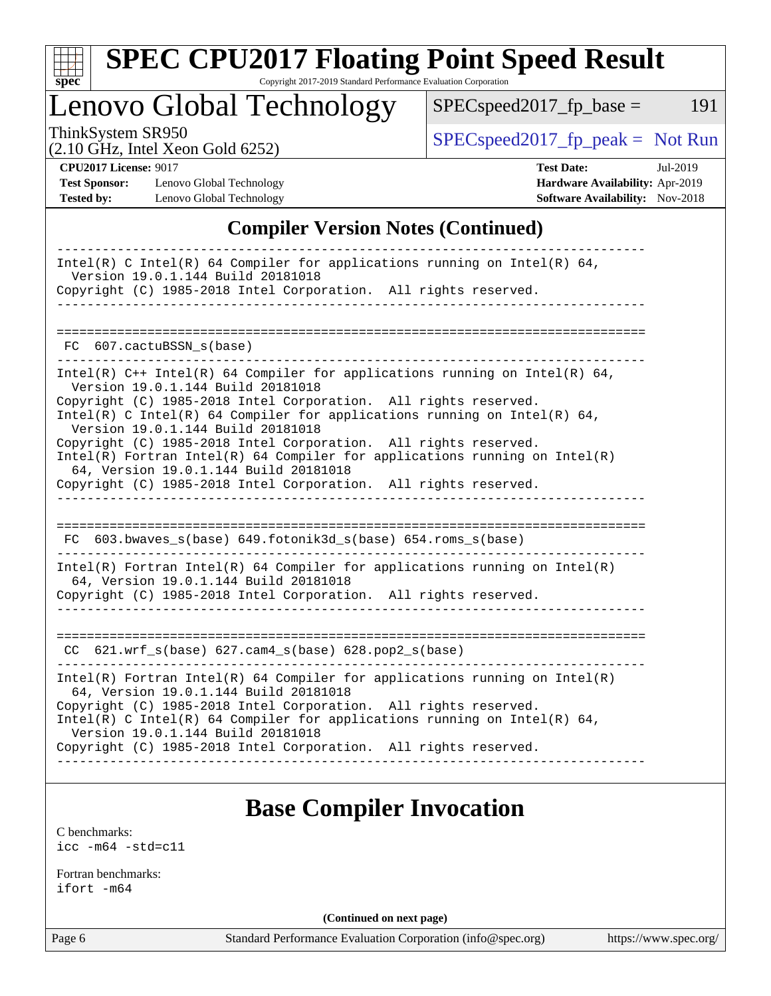

# **[SPEC CPU2017 Floating Point Speed Result](http://www.spec.org/auto/cpu2017/Docs/result-fields.html#SPECCPU2017FloatingPointSpeedResult)**

Copyright 2017-2019 Standard Performance Evaluation Corporation

Lenovo Global Technology

 $SPEC speed2017_fp\_peak = Not Run$ 

 $SPEC speed2017_fp\_base = 191$ 

(2.10 GHz, Intel Xeon Gold 6252)

**[CPU2017 License:](http://www.spec.org/auto/cpu2017/Docs/result-fields.html#CPU2017License)** 9017 **[Test Date:](http://www.spec.org/auto/cpu2017/Docs/result-fields.html#TestDate)** Jul-2019

**[Test Sponsor:](http://www.spec.org/auto/cpu2017/Docs/result-fields.html#TestSponsor)** Lenovo Global Technology **[Hardware Availability:](http://www.spec.org/auto/cpu2017/Docs/result-fields.html#HardwareAvailability)** Apr-2019 **[Tested by:](http://www.spec.org/auto/cpu2017/Docs/result-fields.html#Testedby)** Lenovo Global Technology **[Software Availability:](http://www.spec.org/auto/cpu2017/Docs/result-fields.html#SoftwareAvailability)** Nov-2018

## **[Compiler Version Notes \(Continued\)](http://www.spec.org/auto/cpu2017/Docs/result-fields.html#CompilerVersionNotes)**

| Intel(R) C Intel(R) 64 Compiler for applications running on Intel(R) 64,<br>Version 19.0.1.144 Build 20181018                                                                    |
|----------------------------------------------------------------------------------------------------------------------------------------------------------------------------------|
| Copyright (C) 1985-2018 Intel Corporation. All rights reserved.                                                                                                                  |
|                                                                                                                                                                                  |
|                                                                                                                                                                                  |
| FC 607.cactuBSSN_s(base)                                                                                                                                                         |
| Intel(R) C++ Intel(R) 64 Compiler for applications running on Intel(R) 64,<br>Version 19.0.1.144 Build 20181018                                                                  |
| Copyright (C) 1985-2018 Intel Corporation. All rights reserved.<br>Intel(R) C Intel(R) 64 Compiler for applications running on Intel(R) 64,<br>Version 19.0.1.144 Build 20181018 |
| Copyright (C) 1985-2018 Intel Corporation. All rights reserved.                                                                                                                  |
| $Intel(R)$ Fortran Intel(R) 64 Compiler for applications running on Intel(R)<br>64, Version 19.0.1.144 Build 20181018                                                            |
| Copyright (C) 1985-2018 Intel Corporation. All rights reserved.                                                                                                                  |
|                                                                                                                                                                                  |
|                                                                                                                                                                                  |
| FC 603.bwaves_s(base) 649.fotonik3d_s(base) 654.roms_s(base)                                                                                                                     |
| $Intel(R)$ Fortran Intel(R) 64 Compiler for applications running on Intel(R)<br>64, Version 19.0.1.144 Build 20181018                                                            |
| Copyright (C) 1985-2018 Intel Corporation. All rights reserved.                                                                                                                  |
|                                                                                                                                                                                  |
| $CC$ 621.wrf $s(base)$ 627.cam $4_s(base)$ 628.pop2 $s(base)$                                                                                                                    |
|                                                                                                                                                                                  |
| $Intel(R)$ Fortran Intel(R) 64 Compiler for applications running on Intel(R)<br>64, Version 19.0.1.144 Build 20181018                                                            |
| Copyright (C) 1985-2018 Intel Corporation. All rights reserved.                                                                                                                  |
| Intel(R) C Intel(R) 64 Compiler for applications running on Intel(R) 64,<br>Version 19.0.1.144 Build 20181018                                                                    |
| Copyright (C) 1985-2018 Intel Corporation. All rights reserved.                                                                                                                  |
|                                                                                                                                                                                  |
|                                                                                                                                                                                  |

## **[Base Compiler Invocation](http://www.spec.org/auto/cpu2017/Docs/result-fields.html#BaseCompilerInvocation)**

[C benchmarks](http://www.spec.org/auto/cpu2017/Docs/result-fields.html#Cbenchmarks): [icc -m64 -std=c11](http://www.spec.org/cpu2017/results/res2019q3/cpu2017-20190805-16702.flags.html#user_CCbase_intel_icc_64bit_c11_33ee0cdaae7deeeab2a9725423ba97205ce30f63b9926c2519791662299b76a0318f32ddfffdc46587804de3178b4f9328c46fa7c2b0cd779d7a61945c91cd35)

[Fortran benchmarks](http://www.spec.org/auto/cpu2017/Docs/result-fields.html#Fortranbenchmarks): [ifort -m64](http://www.spec.org/cpu2017/results/res2019q3/cpu2017-20190805-16702.flags.html#user_FCbase_intel_ifort_64bit_24f2bb282fbaeffd6157abe4f878425411749daecae9a33200eee2bee2fe76f3b89351d69a8130dd5949958ce389cf37ff59a95e7a40d588e8d3a57e0c3fd751)

**(Continued on next page)**

Page 6 Standard Performance Evaluation Corporation [\(info@spec.org\)](mailto:info@spec.org) <https://www.spec.org/>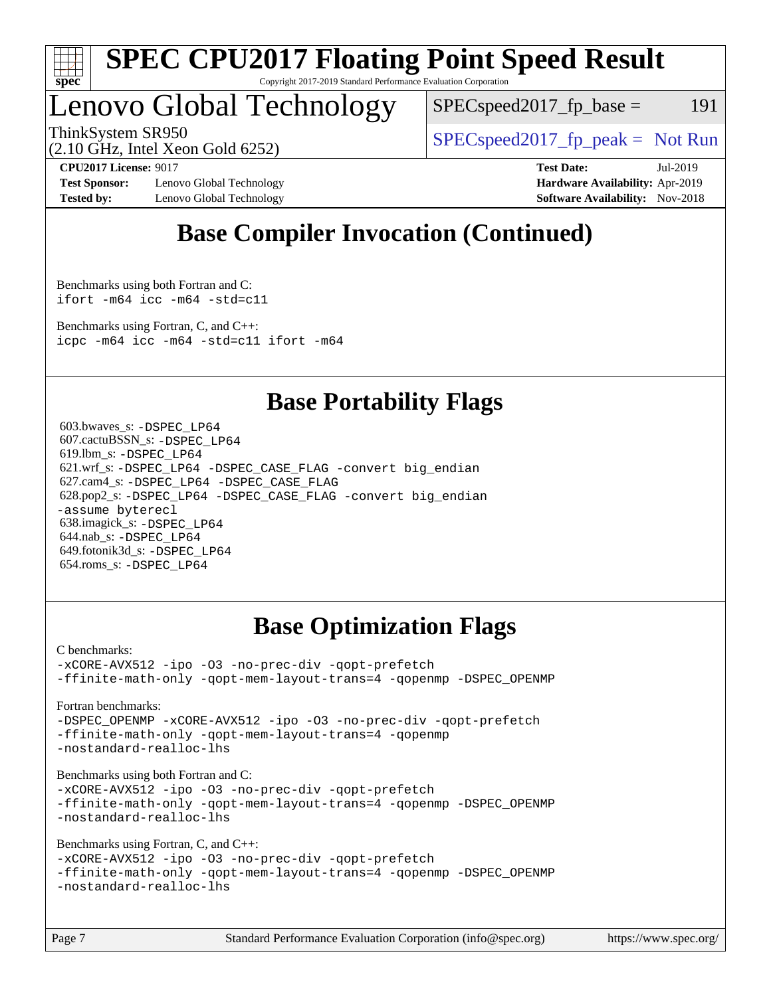

#### **[SPEC CPU2017 Floating Point Speed Result](http://www.spec.org/auto/cpu2017/Docs/result-fields.html#SPECCPU2017FloatingPointSpeedResult)** Copyright 2017-2019 Standard Performance Evaluation Corporation

## Lenovo Global Technology

 $SPEC speed2017_fp\_base = 191$ 

(2.10 GHz, Intel Xeon Gold 6252)

ThinkSystem SR950<br>  $SPEC speed2017<sub>fp</sub> peak = Not Run$ 

**[Test Sponsor:](http://www.spec.org/auto/cpu2017/Docs/result-fields.html#TestSponsor)** Lenovo Global Technology **[Hardware Availability:](http://www.spec.org/auto/cpu2017/Docs/result-fields.html#HardwareAvailability)** Apr-2019 **[Tested by:](http://www.spec.org/auto/cpu2017/Docs/result-fields.html#Testedby)** Lenovo Global Technology **[Software Availability:](http://www.spec.org/auto/cpu2017/Docs/result-fields.html#SoftwareAvailability)** Nov-2018

**[CPU2017 License:](http://www.spec.org/auto/cpu2017/Docs/result-fields.html#CPU2017License)** 9017 **[Test Date:](http://www.spec.org/auto/cpu2017/Docs/result-fields.html#TestDate)** Jul-2019

## **[Base Compiler Invocation \(Continued\)](http://www.spec.org/auto/cpu2017/Docs/result-fields.html#BaseCompilerInvocation)**

[Benchmarks using both Fortran and C](http://www.spec.org/auto/cpu2017/Docs/result-fields.html#BenchmarksusingbothFortranandC): [ifort -m64](http://www.spec.org/cpu2017/results/res2019q3/cpu2017-20190805-16702.flags.html#user_CC_FCbase_intel_ifort_64bit_24f2bb282fbaeffd6157abe4f878425411749daecae9a33200eee2bee2fe76f3b89351d69a8130dd5949958ce389cf37ff59a95e7a40d588e8d3a57e0c3fd751) [icc -m64 -std=c11](http://www.spec.org/cpu2017/results/res2019q3/cpu2017-20190805-16702.flags.html#user_CC_FCbase_intel_icc_64bit_c11_33ee0cdaae7deeeab2a9725423ba97205ce30f63b9926c2519791662299b76a0318f32ddfffdc46587804de3178b4f9328c46fa7c2b0cd779d7a61945c91cd35)

[Benchmarks using Fortran, C, and C++:](http://www.spec.org/auto/cpu2017/Docs/result-fields.html#BenchmarksusingFortranCandCXX) [icpc -m64](http://www.spec.org/cpu2017/results/res2019q3/cpu2017-20190805-16702.flags.html#user_CC_CXX_FCbase_intel_icpc_64bit_4ecb2543ae3f1412ef961e0650ca070fec7b7afdcd6ed48761b84423119d1bf6bdf5cad15b44d48e7256388bc77273b966e5eb805aefd121eb22e9299b2ec9d9) [icc -m64 -std=c11](http://www.spec.org/cpu2017/results/res2019q3/cpu2017-20190805-16702.flags.html#user_CC_CXX_FCbase_intel_icc_64bit_c11_33ee0cdaae7deeeab2a9725423ba97205ce30f63b9926c2519791662299b76a0318f32ddfffdc46587804de3178b4f9328c46fa7c2b0cd779d7a61945c91cd35) [ifort -m64](http://www.spec.org/cpu2017/results/res2019q3/cpu2017-20190805-16702.flags.html#user_CC_CXX_FCbase_intel_ifort_64bit_24f2bb282fbaeffd6157abe4f878425411749daecae9a33200eee2bee2fe76f3b89351d69a8130dd5949958ce389cf37ff59a95e7a40d588e8d3a57e0c3fd751)

## **[Base Portability Flags](http://www.spec.org/auto/cpu2017/Docs/result-fields.html#BasePortabilityFlags)**

 603.bwaves\_s: [-DSPEC\\_LP64](http://www.spec.org/cpu2017/results/res2019q3/cpu2017-20190805-16702.flags.html#suite_basePORTABILITY603_bwaves_s_DSPEC_LP64) 607.cactuBSSN\_s: [-DSPEC\\_LP64](http://www.spec.org/cpu2017/results/res2019q3/cpu2017-20190805-16702.flags.html#suite_basePORTABILITY607_cactuBSSN_s_DSPEC_LP64) 619.lbm\_s: [-DSPEC\\_LP64](http://www.spec.org/cpu2017/results/res2019q3/cpu2017-20190805-16702.flags.html#suite_basePORTABILITY619_lbm_s_DSPEC_LP64) 621.wrf\_s: [-DSPEC\\_LP64](http://www.spec.org/cpu2017/results/res2019q3/cpu2017-20190805-16702.flags.html#suite_basePORTABILITY621_wrf_s_DSPEC_LP64) [-DSPEC\\_CASE\\_FLAG](http://www.spec.org/cpu2017/results/res2019q3/cpu2017-20190805-16702.flags.html#b621.wrf_s_baseCPORTABILITY_DSPEC_CASE_FLAG) [-convert big\\_endian](http://www.spec.org/cpu2017/results/res2019q3/cpu2017-20190805-16702.flags.html#user_baseFPORTABILITY621_wrf_s_convert_big_endian_c3194028bc08c63ac5d04de18c48ce6d347e4e562e8892b8bdbdc0214820426deb8554edfa529a3fb25a586e65a3d812c835984020483e7e73212c4d31a38223) 627.cam4\_s: [-DSPEC\\_LP64](http://www.spec.org/cpu2017/results/res2019q3/cpu2017-20190805-16702.flags.html#suite_basePORTABILITY627_cam4_s_DSPEC_LP64) [-DSPEC\\_CASE\\_FLAG](http://www.spec.org/cpu2017/results/res2019q3/cpu2017-20190805-16702.flags.html#b627.cam4_s_baseCPORTABILITY_DSPEC_CASE_FLAG) 628.pop2\_s: [-DSPEC\\_LP64](http://www.spec.org/cpu2017/results/res2019q3/cpu2017-20190805-16702.flags.html#suite_basePORTABILITY628_pop2_s_DSPEC_LP64) [-DSPEC\\_CASE\\_FLAG](http://www.spec.org/cpu2017/results/res2019q3/cpu2017-20190805-16702.flags.html#b628.pop2_s_baseCPORTABILITY_DSPEC_CASE_FLAG) [-convert big\\_endian](http://www.spec.org/cpu2017/results/res2019q3/cpu2017-20190805-16702.flags.html#user_baseFPORTABILITY628_pop2_s_convert_big_endian_c3194028bc08c63ac5d04de18c48ce6d347e4e562e8892b8bdbdc0214820426deb8554edfa529a3fb25a586e65a3d812c835984020483e7e73212c4d31a38223) [-assume byterecl](http://www.spec.org/cpu2017/results/res2019q3/cpu2017-20190805-16702.flags.html#user_baseFPORTABILITY628_pop2_s_assume_byterecl_7e47d18b9513cf18525430bbf0f2177aa9bf368bc7a059c09b2c06a34b53bd3447c950d3f8d6c70e3faf3a05c8557d66a5798b567902e8849adc142926523472) 638.imagick\_s: [-DSPEC\\_LP64](http://www.spec.org/cpu2017/results/res2019q3/cpu2017-20190805-16702.flags.html#suite_basePORTABILITY638_imagick_s_DSPEC_LP64) 644.nab\_s: [-DSPEC\\_LP64](http://www.spec.org/cpu2017/results/res2019q3/cpu2017-20190805-16702.flags.html#suite_basePORTABILITY644_nab_s_DSPEC_LP64) 649.fotonik3d\_s: [-DSPEC\\_LP64](http://www.spec.org/cpu2017/results/res2019q3/cpu2017-20190805-16702.flags.html#suite_basePORTABILITY649_fotonik3d_s_DSPEC_LP64) 654.roms\_s: [-DSPEC\\_LP64](http://www.spec.org/cpu2017/results/res2019q3/cpu2017-20190805-16702.flags.html#suite_basePORTABILITY654_roms_s_DSPEC_LP64)

## **[Base Optimization Flags](http://www.spec.org/auto/cpu2017/Docs/result-fields.html#BaseOptimizationFlags)**

[C benchmarks](http://www.spec.org/auto/cpu2017/Docs/result-fields.html#Cbenchmarks):

[-xCORE-AVX512](http://www.spec.org/cpu2017/results/res2019q3/cpu2017-20190805-16702.flags.html#user_CCbase_f-xCORE-AVX512) [-ipo](http://www.spec.org/cpu2017/results/res2019q3/cpu2017-20190805-16702.flags.html#user_CCbase_f-ipo) [-O3](http://www.spec.org/cpu2017/results/res2019q3/cpu2017-20190805-16702.flags.html#user_CCbase_f-O3) [-no-prec-div](http://www.spec.org/cpu2017/results/res2019q3/cpu2017-20190805-16702.flags.html#user_CCbase_f-no-prec-div) [-qopt-prefetch](http://www.spec.org/cpu2017/results/res2019q3/cpu2017-20190805-16702.flags.html#user_CCbase_f-qopt-prefetch) [-ffinite-math-only](http://www.spec.org/cpu2017/results/res2019q3/cpu2017-20190805-16702.flags.html#user_CCbase_f_finite_math_only_cb91587bd2077682c4b38af759c288ed7c732db004271a9512da14a4f8007909a5f1427ecbf1a0fb78ff2a814402c6114ac565ca162485bbcae155b5e4258871) [-qopt-mem-layout-trans=4](http://www.spec.org/cpu2017/results/res2019q3/cpu2017-20190805-16702.flags.html#user_CCbase_f-qopt-mem-layout-trans_fa39e755916c150a61361b7846f310bcdf6f04e385ef281cadf3647acec3f0ae266d1a1d22d972a7087a248fd4e6ca390a3634700869573d231a252c784941a8) [-qopenmp](http://www.spec.org/cpu2017/results/res2019q3/cpu2017-20190805-16702.flags.html#user_CCbase_qopenmp_16be0c44f24f464004c6784a7acb94aca937f053568ce72f94b139a11c7c168634a55f6653758ddd83bcf7b8463e8028bb0b48b77bcddc6b78d5d95bb1df2967) [-DSPEC\\_OPENMP](http://www.spec.org/cpu2017/results/res2019q3/cpu2017-20190805-16702.flags.html#suite_CCbase_DSPEC_OPENMP)

[Fortran benchmarks](http://www.spec.org/auto/cpu2017/Docs/result-fields.html#Fortranbenchmarks):

[-DSPEC\\_OPENMP](http://www.spec.org/cpu2017/results/res2019q3/cpu2017-20190805-16702.flags.html#suite_FCbase_DSPEC_OPENMP) [-xCORE-AVX512](http://www.spec.org/cpu2017/results/res2019q3/cpu2017-20190805-16702.flags.html#user_FCbase_f-xCORE-AVX512) [-ipo](http://www.spec.org/cpu2017/results/res2019q3/cpu2017-20190805-16702.flags.html#user_FCbase_f-ipo) [-O3](http://www.spec.org/cpu2017/results/res2019q3/cpu2017-20190805-16702.flags.html#user_FCbase_f-O3) [-no-prec-div](http://www.spec.org/cpu2017/results/res2019q3/cpu2017-20190805-16702.flags.html#user_FCbase_f-no-prec-div) [-qopt-prefetch](http://www.spec.org/cpu2017/results/res2019q3/cpu2017-20190805-16702.flags.html#user_FCbase_f-qopt-prefetch) [-ffinite-math-only](http://www.spec.org/cpu2017/results/res2019q3/cpu2017-20190805-16702.flags.html#user_FCbase_f_finite_math_only_cb91587bd2077682c4b38af759c288ed7c732db004271a9512da14a4f8007909a5f1427ecbf1a0fb78ff2a814402c6114ac565ca162485bbcae155b5e4258871) [-qopt-mem-layout-trans=4](http://www.spec.org/cpu2017/results/res2019q3/cpu2017-20190805-16702.flags.html#user_FCbase_f-qopt-mem-layout-trans_fa39e755916c150a61361b7846f310bcdf6f04e385ef281cadf3647acec3f0ae266d1a1d22d972a7087a248fd4e6ca390a3634700869573d231a252c784941a8) [-qopenmp](http://www.spec.org/cpu2017/results/res2019q3/cpu2017-20190805-16702.flags.html#user_FCbase_qopenmp_16be0c44f24f464004c6784a7acb94aca937f053568ce72f94b139a11c7c168634a55f6653758ddd83bcf7b8463e8028bb0b48b77bcddc6b78d5d95bb1df2967) [-nostandard-realloc-lhs](http://www.spec.org/cpu2017/results/res2019q3/cpu2017-20190805-16702.flags.html#user_FCbase_f_2003_std_realloc_82b4557e90729c0f113870c07e44d33d6f5a304b4f63d4c15d2d0f1fab99f5daaed73bdb9275d9ae411527f28b936061aa8b9c8f2d63842963b95c9dd6426b8a)

[Benchmarks using both Fortran and C](http://www.spec.org/auto/cpu2017/Docs/result-fields.html#BenchmarksusingbothFortranandC):

[-xCORE-AVX512](http://www.spec.org/cpu2017/results/res2019q3/cpu2017-20190805-16702.flags.html#user_CC_FCbase_f-xCORE-AVX512) [-ipo](http://www.spec.org/cpu2017/results/res2019q3/cpu2017-20190805-16702.flags.html#user_CC_FCbase_f-ipo) [-O3](http://www.spec.org/cpu2017/results/res2019q3/cpu2017-20190805-16702.flags.html#user_CC_FCbase_f-O3) [-no-prec-div](http://www.spec.org/cpu2017/results/res2019q3/cpu2017-20190805-16702.flags.html#user_CC_FCbase_f-no-prec-div) [-qopt-prefetch](http://www.spec.org/cpu2017/results/res2019q3/cpu2017-20190805-16702.flags.html#user_CC_FCbase_f-qopt-prefetch) [-ffinite-math-only](http://www.spec.org/cpu2017/results/res2019q3/cpu2017-20190805-16702.flags.html#user_CC_FCbase_f_finite_math_only_cb91587bd2077682c4b38af759c288ed7c732db004271a9512da14a4f8007909a5f1427ecbf1a0fb78ff2a814402c6114ac565ca162485bbcae155b5e4258871) [-qopt-mem-layout-trans=4](http://www.spec.org/cpu2017/results/res2019q3/cpu2017-20190805-16702.flags.html#user_CC_FCbase_f-qopt-mem-layout-trans_fa39e755916c150a61361b7846f310bcdf6f04e385ef281cadf3647acec3f0ae266d1a1d22d972a7087a248fd4e6ca390a3634700869573d231a252c784941a8) [-qopenmp](http://www.spec.org/cpu2017/results/res2019q3/cpu2017-20190805-16702.flags.html#user_CC_FCbase_qopenmp_16be0c44f24f464004c6784a7acb94aca937f053568ce72f94b139a11c7c168634a55f6653758ddd83bcf7b8463e8028bb0b48b77bcddc6b78d5d95bb1df2967) [-DSPEC\\_OPENMP](http://www.spec.org/cpu2017/results/res2019q3/cpu2017-20190805-16702.flags.html#suite_CC_FCbase_DSPEC_OPENMP) [-nostandard-realloc-lhs](http://www.spec.org/cpu2017/results/res2019q3/cpu2017-20190805-16702.flags.html#user_CC_FCbase_f_2003_std_realloc_82b4557e90729c0f113870c07e44d33d6f5a304b4f63d4c15d2d0f1fab99f5daaed73bdb9275d9ae411527f28b936061aa8b9c8f2d63842963b95c9dd6426b8a)

[Benchmarks using Fortran, C, and C++:](http://www.spec.org/auto/cpu2017/Docs/result-fields.html#BenchmarksusingFortranCandCXX)

[-xCORE-AVX512](http://www.spec.org/cpu2017/results/res2019q3/cpu2017-20190805-16702.flags.html#user_CC_CXX_FCbase_f-xCORE-AVX512) [-ipo](http://www.spec.org/cpu2017/results/res2019q3/cpu2017-20190805-16702.flags.html#user_CC_CXX_FCbase_f-ipo) [-O3](http://www.spec.org/cpu2017/results/res2019q3/cpu2017-20190805-16702.flags.html#user_CC_CXX_FCbase_f-O3) [-no-prec-div](http://www.spec.org/cpu2017/results/res2019q3/cpu2017-20190805-16702.flags.html#user_CC_CXX_FCbase_f-no-prec-div) [-qopt-prefetch](http://www.spec.org/cpu2017/results/res2019q3/cpu2017-20190805-16702.flags.html#user_CC_CXX_FCbase_f-qopt-prefetch) [-ffinite-math-only](http://www.spec.org/cpu2017/results/res2019q3/cpu2017-20190805-16702.flags.html#user_CC_CXX_FCbase_f_finite_math_only_cb91587bd2077682c4b38af759c288ed7c732db004271a9512da14a4f8007909a5f1427ecbf1a0fb78ff2a814402c6114ac565ca162485bbcae155b5e4258871) [-qopt-mem-layout-trans=4](http://www.spec.org/cpu2017/results/res2019q3/cpu2017-20190805-16702.flags.html#user_CC_CXX_FCbase_f-qopt-mem-layout-trans_fa39e755916c150a61361b7846f310bcdf6f04e385ef281cadf3647acec3f0ae266d1a1d22d972a7087a248fd4e6ca390a3634700869573d231a252c784941a8) [-qopenmp](http://www.spec.org/cpu2017/results/res2019q3/cpu2017-20190805-16702.flags.html#user_CC_CXX_FCbase_qopenmp_16be0c44f24f464004c6784a7acb94aca937f053568ce72f94b139a11c7c168634a55f6653758ddd83bcf7b8463e8028bb0b48b77bcddc6b78d5d95bb1df2967) [-DSPEC\\_OPENMP](http://www.spec.org/cpu2017/results/res2019q3/cpu2017-20190805-16702.flags.html#suite_CC_CXX_FCbase_DSPEC_OPENMP) [-nostandard-realloc-lhs](http://www.spec.org/cpu2017/results/res2019q3/cpu2017-20190805-16702.flags.html#user_CC_CXX_FCbase_f_2003_std_realloc_82b4557e90729c0f113870c07e44d33d6f5a304b4f63d4c15d2d0f1fab99f5daaed73bdb9275d9ae411527f28b936061aa8b9c8f2d63842963b95c9dd6426b8a)